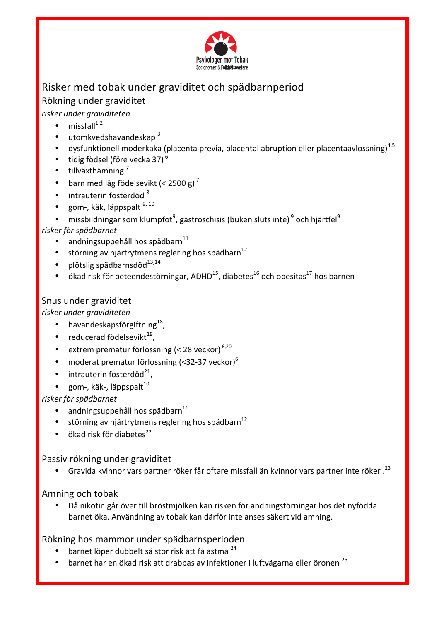

# Risker med tobak under graviditet och spädbarnperiod Rökning under graviditet

# *risker under graviditeten*

- missfall $^{1,2}$
- $\bullet$  utomkvedshavandeskap  $3$
- dysfunktionell moderkaka (placenta previa, placental abruption eller placentaavlossning)<sup>4,5</sup>
- tidig födsel (före vecka 37) $<sup>6</sup>$ </sup>
- $\cdot$  tillväxthämning<sup>7</sup>
- barn med låg födelsevikt (< 2500 g)<sup>7</sup>
- $\bullet$  intrauterin fosterdöd  $^8$
- gom-, käk, läppspalt 9, 10
- missbildningar som klumpfot $^9$ , gastroschisis (buken sluts inte) $^9$  och hjärtfel $^9$

### *risker för spädbarnet*

- andningsuppehåll hos spädbarn $^{11}$
- störning av hjärtrytmens reglering hos spädbarn<sup>12</sup>
- plötslig spädbarnsdöd $^{13,14}$
- ökad risk för beteendestörningar, ADHD<sup>15</sup>, diabetes<sup>16</sup> och obesitas<sup>17</sup> hos barnen

### Snus under graviditet

*risker under graviditeten*

- havandeskapsförgiftning $^{18}$ ,
- reducerad födelsevikt<sup>19</sup>,
- extrem prematur förlossning  $\left($  < 28 veckor)<sup>6,20</sup>
- moderat prematur förlossning (<32-37 veckor) $^6$
- $\bullet$  intrauterin fosterdöd<sup>21</sup>,
- gom-, käk-, läppspalt $^{10}$

#### *risker för spädbarnet*

- $\bullet$  andningsuppehåll hos spädbarn $^{11}$
- störning av hjärtrytmens reglering hos spädbarn<sup>12</sup>
- $\bullet$  ökad risk för diabetes<sup>22</sup>

## Passiv rökning under graviditet

Gravida kvinnor vars partner röker får oftare missfall än kvinnor vars partner inte röker.<sup>23</sup>

## Amning och tobak

Då nikotin går över till bröstmjölken kan risken för andningstörningar hos det nyfödda barnet öka. Användning av tobak kan därför inte anses säkert vid amning.

## Rökning hos mammor under spädbarnsperioden

- barnet löper dubbelt så stor risk att få astma<sup>24</sup>
- barnet har en ökad risk att drabbas av infektioner i luftvägarna eller öronen<sup>25</sup>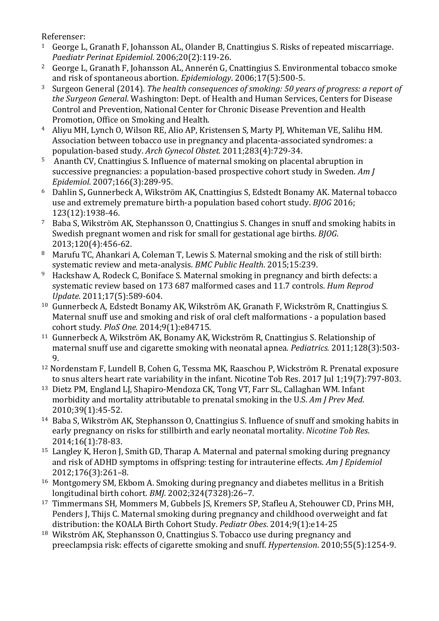Referenser:

- <sup>1</sup> George L, Granath F, Johansson AL, Olander B, Cnattingius S, Risks of repeated miscarriage. *Paediatr Perinat Epidemiol*. 2006;20(2):119-26.
- <sup>2</sup> George L, Granath F, Johansson AL, Annerén G, Cnattingius S. Environmental tobacco smoke and risk of spontaneous abortion. *Epidemiology*. 2006:17(5):500-5.
- <sup>3</sup> Surgeon General (2014). *The health consequences of smoking:* 50 years of progress: a report of *the Surgeon General*. Washington: Dept. of Health and Human Services, Centers for Disease Control and Prevention, National Center for Chronic Disease Prevention and Health Promotion, Office on Smoking and Health.
- <sup>4</sup> Aliyu MH, Lynch O, Wilson RE, Alio AP, Kristensen S, Marty PJ, Whiteman VE, Salihu HM. Association between tobacco use in pregnancy and placenta-associated syndromes: a population-based study. *Arch Gynecol Obstet.* 2011;283(4):729-34.
- <sup>5</sup> Ananth CV, Cnattingius S. Influence of maternal smoking on placental abruption in successive pregnancies: a population-based prospective cohort study in Sweden. *Am J Epidemiol*. 2007;166(3):289-95.
- <sup>6</sup> Dahlin S, Gunnerbeck A, Wikström AK, Cnattingius S, Edstedt Bonamy AK. Maternal tobacco use and extremely premature birth-a population based cohort study. *BIOG* 2016; 123(12):1938-46.
- <sup>7</sup> Baba S, Wikström AK, Stephansson O, Cnattingius S, Changes in snuff and smoking habits in Swedish pregnant women and risk for small for gestational age births. *BIOG*. 2013;120(4):456-62.
- 8 Marufu TC, Ahankari A, Coleman T, Lewis S, Maternal smoking and the risk of still birth: systematic review and meta-analysis. *BMC Public Health*. 2015;15:239.
- <sup>9</sup> Hackshaw A, Rodeck C, Boniface S. Maternal smoking in pregnancy and birth defects: a systematic review based on 173 687 malformed cases and 11.7 controls. *Hum Reprod Update*. 2011;17(5):589-604.
- <sup>10</sup> Gunnerbeck A, Edstedt Bonamy AK, Wikström AK, Granath F, Wickström R, Cnattingius S. Maternal snuff use and smoking and risk of oral cleft malformations - a population based cohort study. *PloS One.* 2014;9(1):e84715.
- <sup>11</sup> Gunnerbeck A, Wikström AK, Bonamy AK, Wickström R, Cnattingius S. Relationship of maternal snuff use and cigarette smoking with neonatal apnea. *Pediatrics.* 2011;128(3):503-9.
- <sup>12</sup> Nordenstam F, Lundell B, Cohen G, Tessma MK, Raaschou P, Wickström R. Prenatal exposure to snus alters heart rate variability in the infant. Nicotine Tob Res. 2017 Jul 1;19(7):797-803.
- <sup>13</sup> Dietz PM, England LJ, Shapiro-Mendoza CK, Tong VT, Farr SL, Callaghan WM. Infant morbidity and mortality attributable to prenatal smoking in the U.S. *Am J Prev Med*. 2010;39(1):45-52.
- <sup>14</sup> Baba S, Wikström AK, Stephansson O, Cnattingius S. Influence of snuff and smoking habits in early pregnancy on risks for stillbirth and early neonatal mortality. *Nicotine Tob Res*. 2014;16(1):78-83.
- <sup>15</sup> Langley K, Heron J, Smith GD, Tharap A. Maternal and paternal smoking during pregnancy and risk of ADHD symptoms in offspring: testing for intrauterine effects. Am *J Epidemiol* 2012;176(3):261–8.
- $16$  Montgomery SM, Ekbom A. Smoking during pregnancy and diabetes mellitus in a British longitudinal birth cohort. *BMJ*. 2002;324(7328):26-7.
- <sup>17</sup> Timmermans SH, Mommers M, Gubbels JS, Kremers SP, Stafleu A, Stehouwer CD, Prins MH, Penders J, Thijs C. Maternal smoking during pregnancy and childhood overweight and fat distribution: the KOALA Birth Cohort Study. *Pediatr Obes*. 2014;9(1):e14-25
- $18$  Wikström AK, Stephansson O, Cnattingius S. Tobacco use during pregnancy and preeclampsia risk: effects of cigarette smoking and snuff. *Hypertension*. 2010;55(5):1254-9.